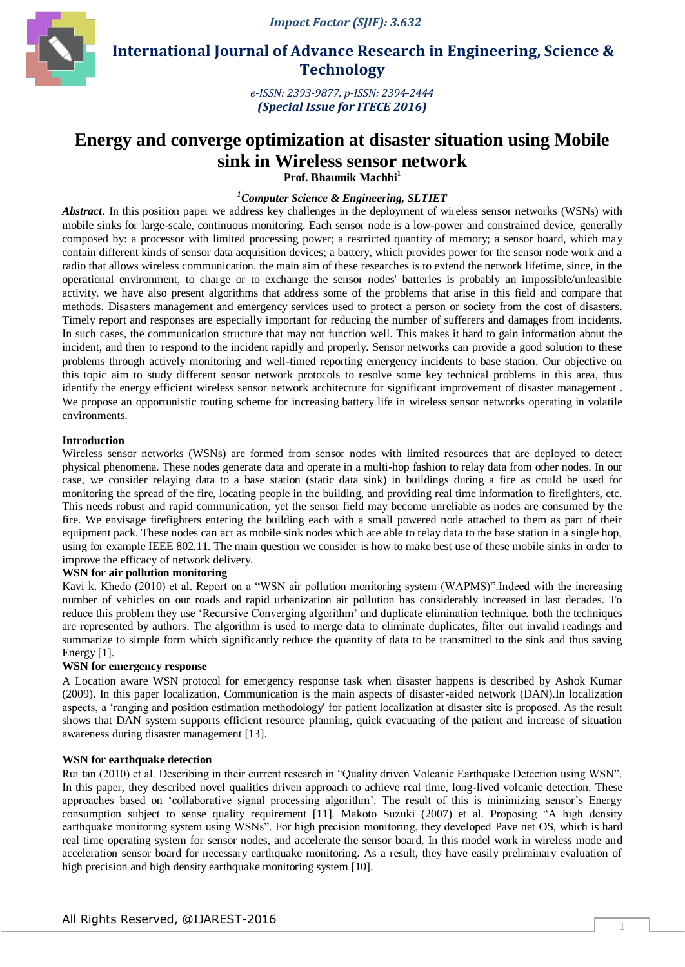

 **International Journal of Advance Research in Engineering, Science & Technology** 

> *e-ISSN: 2393-9877, p-ISSN: 2394-2444 (Special Issue for ITECE 2016)*

# **Energy and converge optimization at disaster situation using Mobile sink in Wireless sensor network**

**Prof. Bhaumik Machhi<sup>1</sup>**

# *<sup>1</sup>Computer Science & Engineering, SLTIET*

*Abstract*. In this position paper we address key challenges in the deployment of wireless sensor networks (WSNs) with mobile sinks for large-scale, continuous monitoring. Each sensor node is a low-power and constrained device, generally composed by: a processor with limited processing power; a restricted quantity of memory; a sensor board, which may contain different kinds of sensor data acquisition devices; a battery, which provides power for the sensor node work and a radio that allows wireless communication. the main aim of these researches is to extend the network lifetime, since, in the operational environment, to charge or to exchange the sensor nodes' batteries is probably an impossible/unfeasible activity. we have also present algorithms that address some of the problems that arise in this field and compare that methods. Disasters management and emergency services used to protect a person or society from the cost of disasters. Timely report and responses are especially important for reducing the number of sufferers and damages from incidents. In such cases, the communication structure that may not function well. This makes it hard to gain information about the incident, and then to respond to the incident rapidly and properly. Sensor networks can provide a good solution to these problems through actively monitoring and well-timed reporting emergency incidents to base station. Our objective on this topic aim to study different sensor network protocols to resolve some key technical problems in this area, thus identify the energy efficient wireless sensor network architecture for significant improvement of disaster management. We propose an opportunistic routing scheme for increasing battery life in wireless sensor networks operating in volatile environments.

## **Introduction**

Wireless sensor networks (WSNs) are formed from sensor nodes with limited resources that are deployed to detect physical phenomena. These nodes generate data and operate in a multi-hop fashion to relay data from other nodes. In our case, we consider relaying data to a base station (static data sink) in buildings during a fire as could be used for monitoring the spread of the fire, locating people in the building, and providing real time information to firefighters, etc. This needs robust and rapid communication, yet the sensor field may become unreliable as nodes are consumed by the fire. We envisage firefighters entering the building each with a small powered node attached to them as part of their equipment pack. These nodes can act as mobile sink nodes which are able to relay data to the base station in a single hop, using for example IEEE 802.11. The main question we consider is how to make best use of these mobile sinks in order to improve the efficacy of network delivery.

## **WSN for air pollution monitoring**

Kavi k. Khedo (2010) et al. Report on a "WSN air pollution monitoring system (WAPMS)".Indeed with the increasing number of vehicles on our roads and rapid urbanization air pollution has considerably increased in last decades. To reduce this problem they use "Recursive Converging algorithm" and duplicate elimination technique. both the techniques are represented by authors. The algorithm is used to merge data to eliminate duplicates, filter out invalid readings and summarize to simple form which significantly reduce the quantity of data to be transmitted to the sink and thus saving Energy [1].

## **WSN for emergency response**

A Location aware WSN protocol for emergency response task when disaster happens is described by Ashok Kumar (2009). In this paper localization, Communication is the main aspects of disaster-aided network (DAN).In localization aspects, a "ranging and position estimation methodology' for patient localization at disaster site is proposed. As the result shows that DAN system supports efficient resource planning, quick evacuating of the patient and increase of situation awareness during disaster management [13].

## **WSN for earthquake detection**

Rui tan (2010) et al. Describing in their current research in "Quality driven Volcanic Earthquake Detection using WSN". In this paper, they described novel qualities driven approach to achieve real time, long-lived volcanic detection. These approaches based on 'collaborative signal processing algorithm'. The result of this is minimizing sensor's Energy consumption subject to sense quality requirement [11]. Makoto Suzuki (2007) et al. Proposing "A high density earthquake monitoring system using WSNs". For high precision monitoring, they developed Pave net OS, which is hard real time operating system for sensor nodes, and accelerate the sensor board. In this model work in wireless mode and acceleration sensor board for necessary earthquake monitoring. As a result, they have easily preliminary evaluation of high precision and high density earthquake monitoring system [10].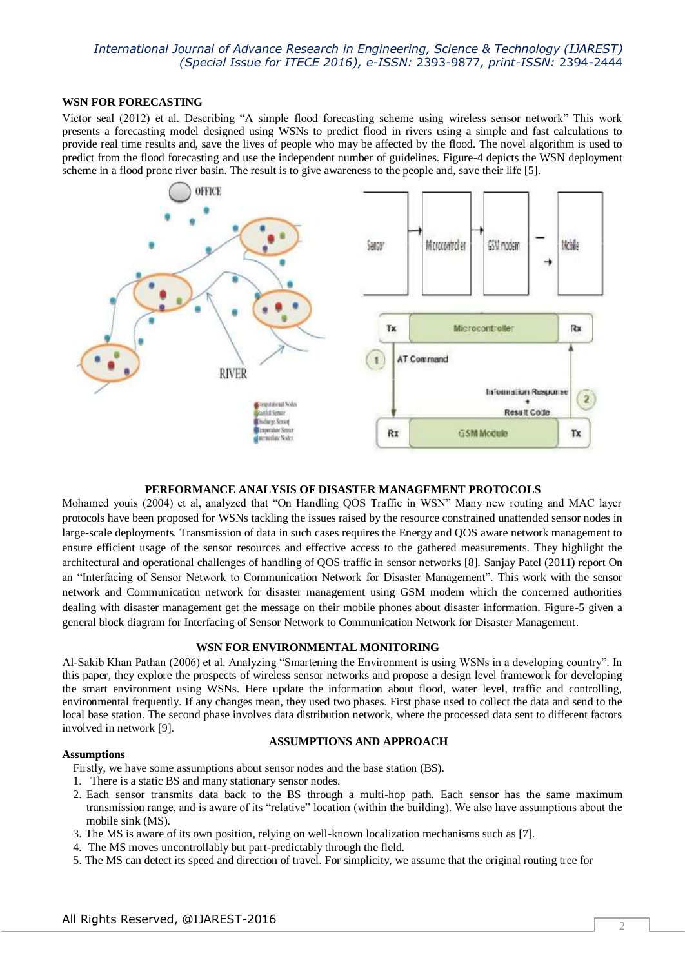## **WSN FOR FORECASTING**

Victor seal (2012) et al. Describing "A simple flood forecasting scheme using wireless sensor network" This work presents a forecasting model designed using WSNs to predict flood in rivers using a simple and fast calculations to provide real time results and, save the lives of people who may be affected by the flood. The novel algorithm is used to predict from the flood forecasting and use the independent number of guidelines. Figure-4 depicts the WSN deployment scheme in a flood prone river basin. The result is to give awareness to the people and, save their life [5].



## **PERFORMANCE ANALYSIS OF DISASTER MANAGEMENT PROTOCOLS**

Mohamed youis (2004) et al, analyzed that "On Handling QOS Traffic in WSN" Many new routing and MAC layer protocols have been proposed for WSNs tackling the issues raised by the resource constrained unattended sensor nodes in large-scale deployments. Transmission of data in such cases requires the Energy and QOS aware network management to ensure efficient usage of the sensor resources and effective access to the gathered measurements. They highlight the architectural and operational challenges of handling of QOS traffic in sensor networks [8]. Sanjay Patel (2011) report On an "Interfacing of Sensor Network to Communication Network for Disaster Management". This work with the sensor network and Communication network for disaster management using GSM modem which the concerned authorities dealing with disaster management get the message on their mobile phones about disaster information. Figure-5 given a general block diagram for Interfacing of Sensor Network to Communication Network for Disaster Management.

## **WSN FOR ENVIRONMENTAL MONITORING**

Al-Sakib Khan Pathan (2006) et al. Analyzing "Smartening the Environment is using WSNs in a developing country". In this paper, they explore the prospects of wireless sensor networks and propose a design level framework for developing the smart environment using WSNs. Here update the information about flood, water level, traffic and controlling, environmental frequently. If any changes mean, they used two phases. First phase used to collect the data and send to the local base station. The second phase involves data distribution network, where the processed data sent to different factors involved in network [9].

## **Assumptions**

# **ASSUMPTIONS AND APPROACH**

Firstly, we have some assumptions about sensor nodes and the base station (BS).

- 1. There is a static BS and many stationary sensor nodes.
- 2. Each sensor transmits data back to the BS through a multi-hop path. Each sensor has the same maximum transmission range, and is aware of its "relative" location (within the building). We also have assumptions about the mobile sink (MS).
- 3. The MS is aware of its own position, relying on well-known localization mechanisms such as [7].
- 4. The MS moves uncontrollably but part-predictably through the field.
- 5. The MS can detect its speed and direction of travel. For simplicity, we assume that the original routing tree for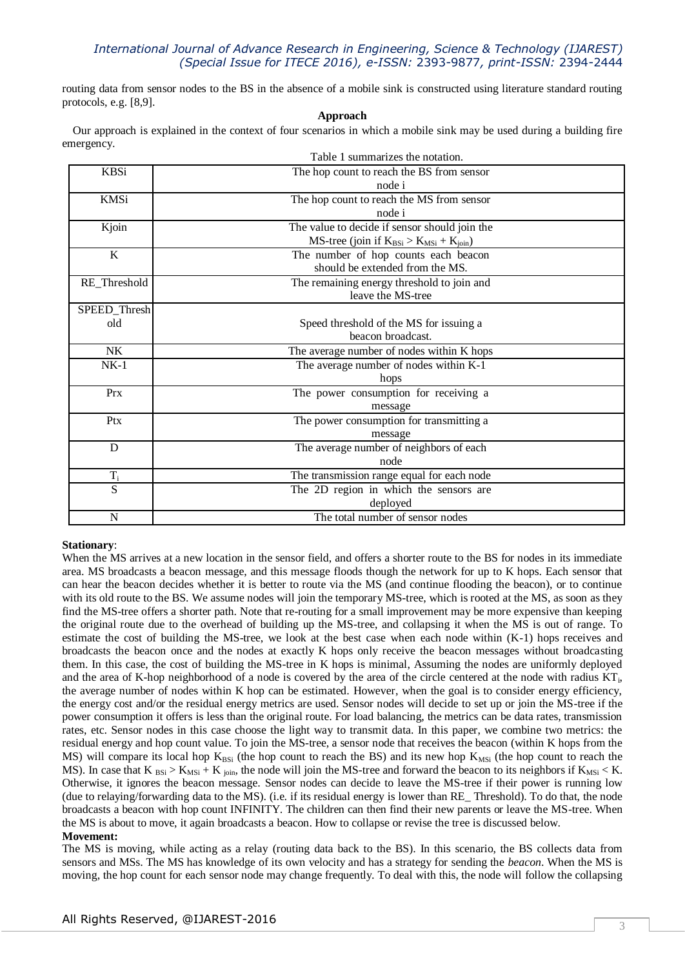routing data from sensor nodes to the BS in the absence of a mobile sink is constructed using literature standard routing protocols, e.g. [8,9].

#### **Approach**

Our approach is explained in the context of four scenarios in which a mobile sink may be used during a building fire emergency.

|              | Table 1 summarizes the notation.                     |  |
|--------------|------------------------------------------------------|--|
| <b>KBSi</b>  | The hop count to reach the BS from sensor            |  |
|              | node i                                               |  |
| KMSi         | The hop count to reach the MS from sensor            |  |
|              | node i                                               |  |
| Kjoin        | The value to decide if sensor should join the        |  |
|              | $MS$ -tree (join if $K_{BSi} > K_{MSi} + K_{join}$ ) |  |
| K            | The number of hop counts each beacon                 |  |
|              | should be extended from the MS.                      |  |
| RE_Threshold | The remaining energy threshold to join and           |  |
|              | leave the MS-tree                                    |  |
| SPEED_Thresh |                                                      |  |
| old          | Speed threshold of the MS for issuing a              |  |
|              | beacon broadcast.                                    |  |
| NK           | The average number of nodes within K hops            |  |
| $NK-1$       | The average number of nodes within K-1               |  |
|              | hops                                                 |  |
| Prx          | The power consumption for receiving a                |  |
|              | message                                              |  |
| Ptx          | The power consumption for transmitting a             |  |
|              | message                                              |  |
| D            | The average number of neighbors of each              |  |
|              | node                                                 |  |
| $\rm T_i$    | The transmission range equal for each node           |  |
| S            | The 2D region in which the sensors are               |  |
|              | deployed                                             |  |
| N            | The total number of sensor nodes                     |  |

## **Stationary**:

When the MS arrives at a new location in the sensor field, and offers a shorter route to the BS for nodes in its immediate area. MS broadcasts a beacon message, and this message floods though the network for up to K hops. Each sensor that can hear the beacon decides whether it is better to route via the MS (and continue flooding the beacon), or to continue with its old route to the BS. We assume nodes will join the temporary MS-tree, which is rooted at the MS, as soon as they find the MS-tree offers a shorter path. Note that re-routing for a small improvement may be more expensive than keeping the original route due to the overhead of building up the MS-tree, and collapsing it when the MS is out of range. To estimate the cost of building the MS-tree, we look at the best case when each node within (K-1) hops receives and broadcasts the beacon once and the nodes at exactly K hops only receive the beacon messages without broadcasting them. In this case, the cost of building the MS-tree in K hops is minimal, Assuming the nodes are uniformly deployed and the area of K-hop neighborhood of a node is covered by the area of the circle centered at the node with radius KT<sub>i</sub>, the average number of nodes within K hop can be estimated. However, when the goal is to consider energy efficiency, the energy cost and/or the residual energy metrics are used. Sensor nodes will decide to set up or join the MS-tree if the power consumption it offers is less than the original route. For load balancing, the metrics can be data rates, transmission rates, etc. Sensor nodes in this case choose the light way to transmit data. In this paper, we combine two metrics: the residual energy and hop count value. To join the MS-tree, a sensor node that receives the beacon (within K hops from the MS) will compare its local hop  $K_{BSi}$  (the hop count to reach the BS) and its new hop  $K_{MSi}$  (the hop count to reach the MS). In case that K  $_{BSi} > K_{MSi} + K_{join}$ , the node will join the MS-tree and forward the beacon to its neighbors if  $K_{MSi} < K$ . Otherwise, it ignores the beacon message. Sensor nodes can decide to leave the MS-tree if their power is running low (due to relaying/forwarding data to the MS). (i.e. if its residual energy is lower than RE\_ Threshold). To do that, the node broadcasts a beacon with hop count INFINITY. The children can then find their new parents or leave the MS-tree. When the MS is about to move, it again broadcasts a beacon. How to collapse or revise the tree is discussed below. **Movement:** 

The MS is moving, while acting as a relay (routing data back to the BS). In this scenario, the BS collects data from sensors and MSs. The MS has knowledge of its own velocity and has a strategy for sending the *beacon*. When the MS is moving, the hop count for each sensor node may change frequently. To deal with this, the node will follow the collapsing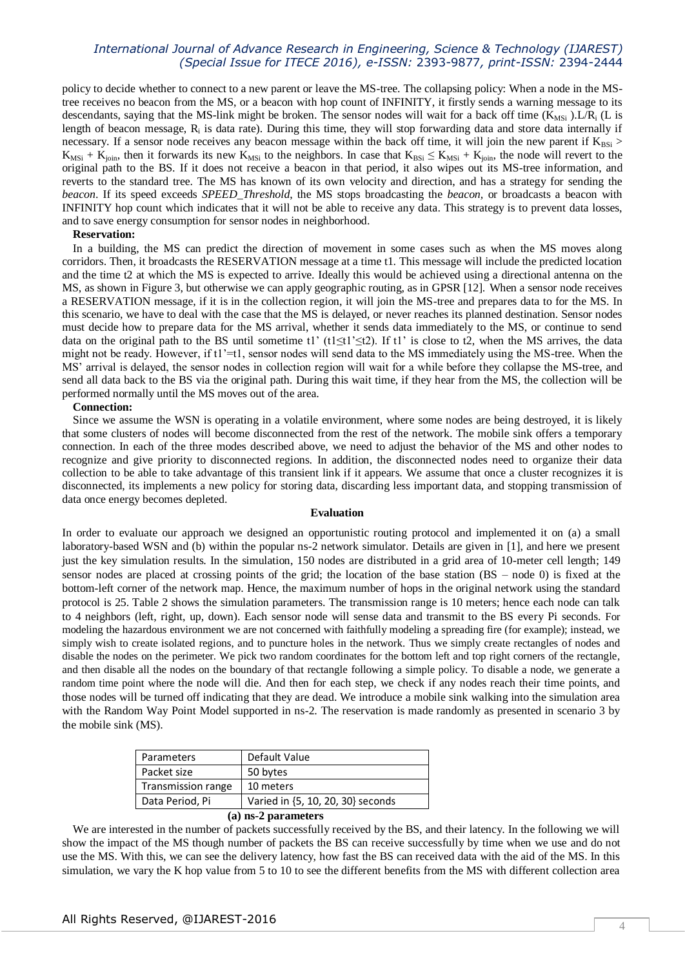policy to decide whether to connect to a new parent or leave the MS-tree. The collapsing policy: When a node in the MStree receives no beacon from the MS, or a beacon with hop count of INFINITY, it firstly sends a warning message to its descendants, saying that the MS-link might be broken. The sensor nodes will wait for a back off time  $(K_{\text{MSi}})$ . L/R<sub>i</sub> (L is length of beacon message,  $R_i$  is data rate). During this time, they will stop forwarding data and store data internally if necessary. If a sensor node receives any beacon message within the back off time, it will join the new parent if  $K_{BSi}$  >  $K_{MSi} + K_{join}$ , then it forwards its new  $K_{MSi}$  to the neighbors. In case that  $K_{BSi} \le K_{MSi} + K_{join}$ , the node will revert to the original path to the BS. If it does not receive a beacon in that period, it also wipes out its MS-tree information, and reverts to the standard tree. The MS has known of its own velocity and direction, and has a strategy for sending the *beacon*. If its speed exceeds *SPEED\_Threshold*, the MS stops broadcasting the *beacon,* or broadcasts a beacon with INFINITY hop count which indicates that it will not be able to receive any data. This strategy is to prevent data losses, and to save energy consumption for sensor nodes in neighborhood.

#### **Reservation:**

In a building, the MS can predict the direction of movement in some cases such as when the MS moves along corridors. Then, it broadcasts the RESERVATION message at a time t1. This message will include the predicted location and the time t2 at which the MS is expected to arrive. Ideally this would be achieved using a directional antenna on the MS, as shown in Figure 3, but otherwise we can apply geographic routing, as in GPSR [12]. When a sensor node receives a RESERVATION message, if it is in the collection region, it will join the MS-tree and prepares data to for the MS. In this scenario, we have to deal with the case that the MS is delayed, or never reaches its planned destination. Sensor nodes must decide how to prepare data for the MS arrival, whether it sends data immediately to the MS, or continue to send data on the original path to the BS until sometime t1' (t1≤t1'≤t2). If t1' is close to t2, when the MS arrives, the data might not be ready. However, if  $t1' = t1$ , sensor nodes will send data to the MS immediately using the MS-tree. When the MS" arrival is delayed, the sensor nodes in collection region will wait for a while before they collapse the MS-tree, and send all data back to the BS via the original path. During this wait time, if they hear from the MS, the collection will be performed normally until the MS moves out of the area.

#### **Connection:**

Since we assume the WSN is operating in a volatile environment, where some nodes are being destroyed, it is likely that some clusters of nodes will become disconnected from the rest of the network. The mobile sink offers a temporary connection. In each of the three modes described above, we need to adjust the behavior of the MS and other nodes to recognize and give priority to disconnected regions. In addition, the disconnected nodes need to organize their data collection to be able to take advantage of this transient link if it appears. We assume that once a cluster recognizes it is disconnected, its implements a new policy for storing data, discarding less important data, and stopping transmission of data once energy becomes depleted.

## **Evaluation**

In order to evaluate our approach we designed an opportunistic routing protocol and implemented it on (a) a small laboratory-based WSN and (b) within the popular ns-2 network simulator. Details are given in [1], and here we present just the key simulation results. In the simulation, 150 nodes are distributed in a grid area of 10-meter cell length; 149 sensor nodes are placed at crossing points of the grid; the location of the base station (BS – node 0) is fixed at the bottom-left corner of the network map. Hence, the maximum number of hops in the original network using the standard protocol is 25. Table 2 shows the simulation parameters. The transmission range is 10 meters; hence each node can talk to 4 neighbors (left, right, up, down). Each sensor node will sense data and transmit to the BS every Pi seconds. For modeling the hazardous environment we are not concerned with faithfully modeling a spreading fire (for example); instead, we simply wish to create isolated regions, and to puncture holes in the network. Thus we simply create rectangles of nodes and disable the nodes on the perimeter. We pick two random coordinates for the bottom left and top right corners of the rectangle, and then disable all the nodes on the boundary of that rectangle following a simple policy. To disable a node, we generate a random time point where the node will die. And then for each step, we check if any nodes reach their time points, and those nodes will be turned off indicating that they are dead. We introduce a mobile sink walking into the simulation area with the Random Way Point Model supported in ns-2. The reservation is made randomly as presented in scenario 3 by the mobile sink (MS).

| Parameters          | Default Value                     |  |
|---------------------|-----------------------------------|--|
| Packet size         | 50 bytes                          |  |
| Transmission range  | 10 meters                         |  |
| Data Period, Pi     | Varied in {5, 10, 20, 30} seconds |  |
| (a) ns-2 parameters |                                   |  |

We are interested in the number of packets successfully received by the BS, and their latency. In the following we will show the impact of the MS though number of packets the BS can receive successfully by time when we use and do not use the MS. With this, we can see the delivery latency, how fast the BS can received data with the aid of the MS. In this simulation, we vary the K hop value from 5 to 10 to see the different benefits from the MS with different collection area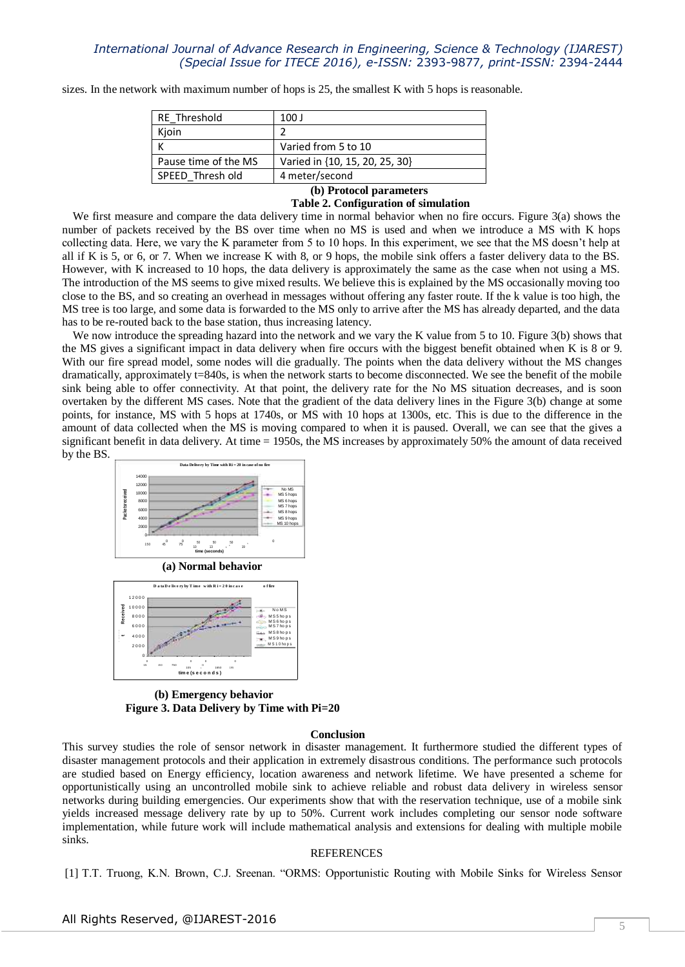sizes. In the network with maximum number of hops is 25, the smallest K with 5 hops is reasonable.

| RE Threshold         | 100 J                          |
|----------------------|--------------------------------|
| Kjoin                |                                |
|                      | Varied from 5 to 10            |
| Pause time of the MS | Varied in {10, 15, 20, 25, 30} |
| SPEED Thresh old     | 4 meter/second                 |

# **(b) Protocol parameters**

## **Table 2. Configuration of simulation**

We first measure and compare the data delivery time in normal behavior when no fire occurs. Figure 3(a) shows the number of packets received by the BS over time when no MS is used and when we introduce a MS with K hops collecting data. Here, we vary the K parameter from 5 to 10 hops. In this experiment, we see that the MS doesn"t help at all if K is 5, or 6, or 7. When we increase K with 8, or 9 hops, the mobile sink offers a faster delivery data to the BS. However, with K increased to 10 hops, the data delivery is approximately the same as the case when not using a MS. The introduction of the MS seems to give mixed results. We believe this is explained by the MS occasionally moving too close to the BS, and so creating an overhead in messages without offering any faster route. If the k value is too high, the MS tree is too large, and some data is forwarded to the MS only to arrive after the MS has already departed, and the data has to be re-routed back to the base station, thus increasing latency.

We now introduce the spreading hazard into the network and we vary the K value from 5 to 10. Figure 3(b) shows that the MS gives a significant impact in data delivery when fire occurs with the biggest benefit obtained when K is 8 or 9. With our fire spread model, some nodes will die gradually. The points when the data delivery without the MS changes dramatically, approximately t=840s, is when the network starts to become disconnected. We see the benefit of the mobile sink being able to offer connectivity. At that point, the delivery rate for the No MS situation decreases, and is soon overtaken by the different MS cases. Note that the gradient of the data delivery lines in the Figure 3(b) change at some points, for instance, MS with 5 hops at 1740s, or MS with 10 hops at 1300s, etc. This is due to the difference in the amount of data collected when the MS is moving compared to when it is paused. Overall, we can see that the gives a significant benefit in data delivery. At time = 1950s, the MS increases by approximately 50% the amount of data received by the BS.



1650 105 <sup>1</sup> 195 **tim e (s e c o n d s )**

**(b) Emergency behavior Figure 3. Data Delivery by Time with Pi=20**

#### **Conclusion**

This survey studies the role of sensor network in disaster management. It furthermore studied the different types of disaster management protocols and their application in extremely disastrous conditions. The performance such protocols are studied based on Energy efficiency, location awareness and network lifetime. We have presented a scheme for opportunistically using an uncontrolled mobile sink to achieve reliable and robust data delivery in wireless sensor networks during building emergencies. Our experiments show that with the reservation technique, use of a mobile sink yields increased message delivery rate by up to 50%. Current work includes completing our sensor node software implementation, while future work will include mathematical analysis and extensions for dealing with multiple mobile sinks.

#### REFERENCES

[1] T.T. Truong, K.N. Brown, C.J. Sreenan. "ORMS: Opportunistic Routing with Mobile Sinks for Wireless Sensor

450 750

15